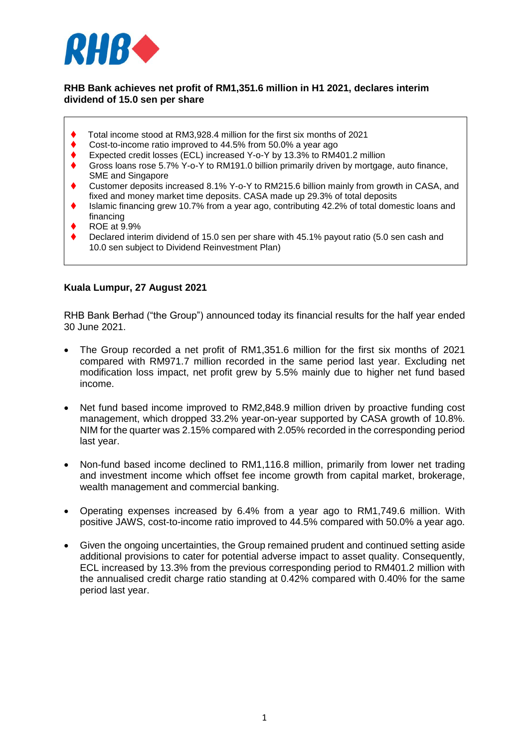

### **RHB Bank achieves net profit of RM1,351.6 million in H1 2021, declares interim dividend of 15.0 sen per share**

- Total income stood at RM3,928.4 million for the first six months of 2021
- ◆ Cost-to-income ratio improved to 44.5% from 50.0% a vear ago
- Expected credit losses (ECL) increased Y-o-Y by 13.3% to RM401.2 million
- Gross loans rose 5.7% Y-o-Y to RM191.0 billion primarily driven by mortgage, auto finance, SME and Singapore
- Customer deposits increased 8.1% Y-o-Y to RM215.6 billion mainly from growth in CASA, and fixed and money market time deposits. CASA made up 29.3% of total deposits
- Islamic financing grew 10.7% from a year ago, contributing 42.2% of total domestic loans and financing
- ROE at 9.9%
- Declared interim dividend of 15.0 sen per share with 45.1% payout ratio (5.0 sen cash and 10.0 sen subject to Dividend Reinvestment Plan)

## **Kuala Lumpur, 27 August 2021**

RHB Bank Berhad ("the Group") announced today its financial results for the half year ended 30 June 2021.

- The Group recorded a net profit of RM1,351.6 million for the first six months of 2021 compared with RM971.7 million recorded in the same period last year. Excluding net modification loss impact, net profit grew by 5.5% mainly due to higher net fund based income.
- Net fund based income improved to RM2,848.9 million driven by proactive funding cost management, which dropped 33.2% year-on-year supported by CASA growth of 10.8%. NIM for the quarter was 2.15% compared with 2.05% recorded in the corresponding period last year.
- Non-fund based income declined to RM1,116.8 million, primarily from lower net trading and investment income which offset fee income growth from capital market, brokerage, wealth management and commercial banking.
- Operating expenses increased by 6.4% from a year ago to RM1,749.6 million. With positive JAWS, cost-to-income ratio improved to 44.5% compared with 50.0% a year ago.
- Given the ongoing uncertainties, the Group remained prudent and continued setting aside additional provisions to cater for potential adverse impact to asset quality. Consequently, ECL increased by 13.3% from the previous corresponding period to RM401.2 million with the annualised credit charge ratio standing at 0.42% compared with 0.40% for the same period last year.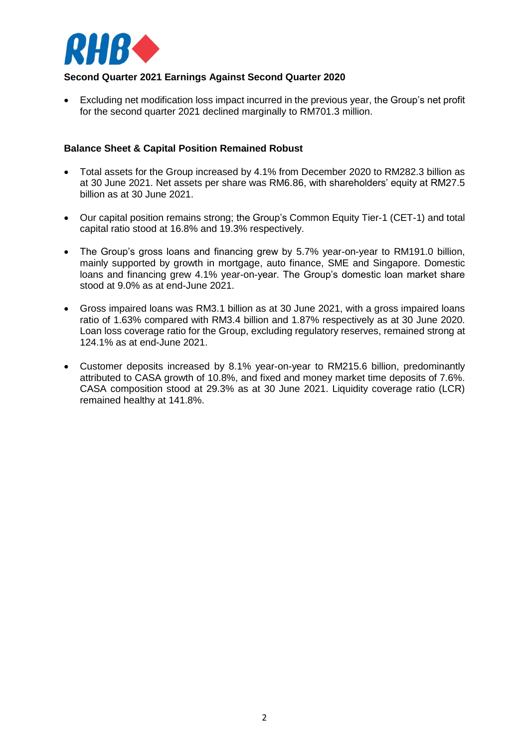

# **Second Quarter 2021 Earnings Against Second Quarter 2020**

 Excluding net modification loss impact incurred in the previous year, the Group's net profit for the second quarter 2021 declined marginally to RM701.3 million.

### **Balance Sheet & Capital Position Remained Robust**

- Total assets for the Group increased by 4.1% from December 2020 to RM282.3 billion as at 30 June 2021. Net assets per share was RM6.86, with shareholders' equity at RM27.5 billion as at 30 June 2021.
- Our capital position remains strong; the Group's Common Equity Tier-1 (CET-1) and total capital ratio stood at 16.8% and 19.3% respectively.
- The Group's gross loans and financing grew by 5.7% year-on-year to RM191.0 billion, mainly supported by growth in mortgage, auto finance, SME and Singapore. Domestic loans and financing grew 4.1% year-on-year. The Group's domestic loan market share stood at 9.0% as at end-June 2021.
- Gross impaired loans was RM3.1 billion as at 30 June 2021, with a gross impaired loans ratio of 1.63% compared with RM3.4 billion and 1.87% respectively as at 30 June 2020. Loan loss coverage ratio for the Group, excluding regulatory reserves, remained strong at 124.1% as at end-June 2021.
- Customer deposits increased by 8.1% year-on-year to RM215.6 billion, predominantly attributed to CASA growth of 10.8%, and fixed and money market time deposits of 7.6%. CASA composition stood at 29.3% as at 30 June 2021. Liquidity coverage ratio (LCR) remained healthy at 141.8%.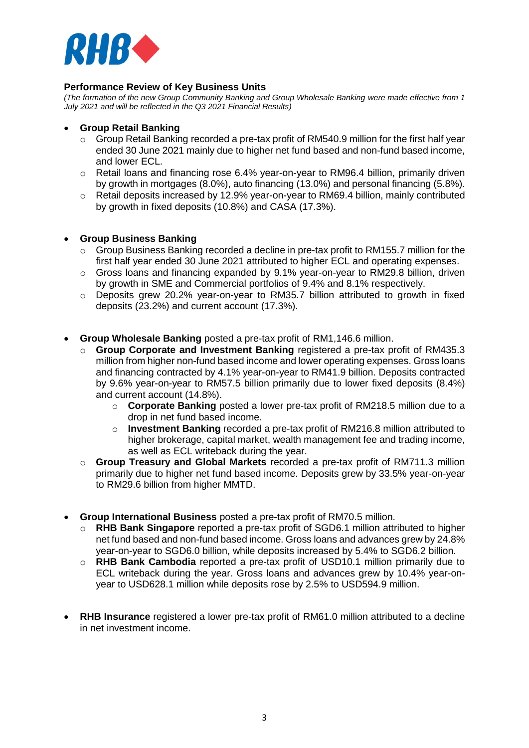

## **Performance Review of Key Business Units**

*(The formation of the new Group Community Banking and Group Wholesale Banking were made effective from 1 July 2021 and will be reflected in the Q3 2021 Financial Results)* 

### **Group Retail Banking**

- $\circ$  Group Retail Banking recorded a pre-tax profit of RM540.9 million for the first half year ended 30 June 2021 mainly due to higher net fund based and non-fund based income, and lower ECL.
- o Retail loans and financing rose 6.4% year-on-year to RM96.4 billion, primarily driven by growth in mortgages (8.0%), auto financing (13.0%) and personal financing (5.8%).
- o Retail deposits increased by 12.9% year-on-year to RM69.4 billion, mainly contributed by growth in fixed deposits (10.8%) and CASA (17.3%).

#### **Group Business Banking**

- $\circ$  Group Business Banking recorded a decline in pre-tax profit to RM155.7 million for the first half year ended 30 June 2021 attributed to higher ECL and operating expenses.
- o Gross loans and financing expanded by 9.1% year-on-year to RM29.8 billion, driven by growth in SME and Commercial portfolios of 9.4% and 8.1% respectively.
- o Deposits grew 20.2% year-on-year to RM35.7 billion attributed to growth in fixed deposits (23.2%) and current account (17.3%).
- **Group Wholesale Banking** posted a pre-tax profit of RM1,146.6 million.
	- o **Group Corporate and Investment Banking** registered a pre-tax profit of RM435.3 million from higher non-fund based income and lower operating expenses. Gross loans and financing contracted by 4.1% year-on-year to RM41.9 billion. Deposits contracted by 9.6% year-on-year to RM57.5 billion primarily due to lower fixed deposits (8.4%) and current account (14.8%).
		- o **Corporate Banking** posted a lower pre-tax profit of RM218.5 million due to a drop in net fund based income.
		- o **Investment Banking** recorded a pre-tax profit of RM216.8 million attributed to higher brokerage, capital market, wealth management fee and trading income, as well as ECL writeback during the year.
	- o **Group Treasury and Global Markets** recorded a pre-tax profit of RM711.3 million primarily due to higher net fund based income. Deposits grew by 33.5% year-on-year to RM29.6 billion from higher MMTD.
- **Group International Business** posted a pre-tax profit of RM70.5 million.
	- o **RHB Bank Singapore** reported a pre-tax profit of SGD6.1 million attributed to higher net fund based and non-fund based income. Gross loans and advances grew by 24.8% year-on-year to SGD6.0 billion, while deposits increased by 5.4% to SGD6.2 billion.
	- o **RHB Bank Cambodia** reported a pre-tax profit of USD10.1 million primarily due to ECL writeback during the year. Gross loans and advances grew by 10.4% year-onyear to USD628.1 million while deposits rose by 2.5% to USD594.9 million.
- **RHB Insurance** registered a lower pre-tax profit of RM61.0 million attributed to a decline in net investment income.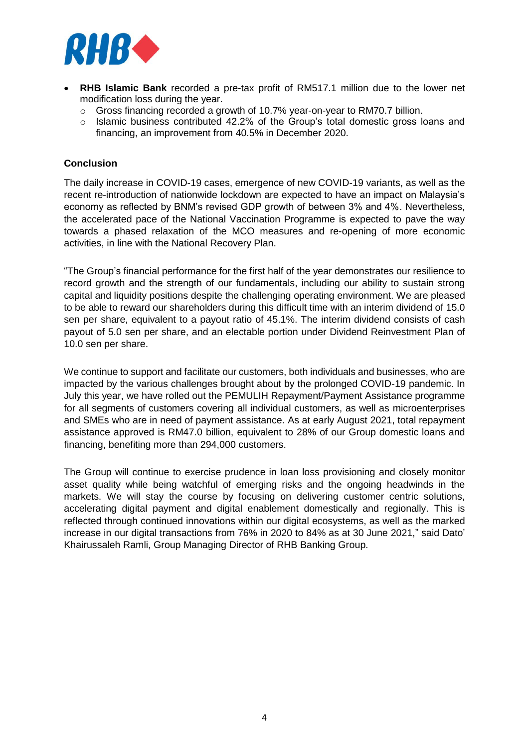

- **RHB Islamic Bank** recorded a pre-tax profit of RM517.1 million due to the lower net modification loss during the year.
	- o Gross financing recorded a growth of 10.7% year-on-year to RM70.7 billion.
	- o Islamic business contributed 42.2% of the Group's total domestic gross loans and financing, an improvement from 40.5% in December 2020.

# **Conclusion**

The daily increase in COVID-19 cases, emergence of new COVID-19 variants, as well as the recent re-introduction of nationwide lockdown are expected to have an impact on Malaysia's economy as reflected by BNM's revised GDP growth of between 3% and 4%. Nevertheless, the accelerated pace of the National Vaccination Programme is expected to pave the way towards a phased relaxation of the MCO measures and re-opening of more economic activities, in line with the National Recovery Plan.

"The Group's financial performance for the first half of the year demonstrates our resilience to record growth and the strength of our fundamentals, including our ability to sustain strong capital and liquidity positions despite the challenging operating environment. We are pleased to be able to reward our shareholders during this difficult time with an interim dividend of 15.0 sen per share, equivalent to a payout ratio of 45.1%. The interim dividend consists of cash payout of 5.0 sen per share, and an electable portion under Dividend Reinvestment Plan of 10.0 sen per share.

We continue to support and facilitate our customers, both individuals and businesses, who are impacted by the various challenges brought about by the prolonged COVID-19 pandemic. In July this year, we have rolled out the PEMULIH Repayment/Payment Assistance programme for all segments of customers covering all individual customers, as well as microenterprises and SMEs who are in need of payment assistance. As at early August 2021, total repayment assistance approved is RM47.0 billion, equivalent to 28% of our Group domestic loans and financing, benefiting more than 294,000 customers.

The Group will continue to exercise prudence in loan loss provisioning and closely monitor asset quality while being watchful of emerging risks and the ongoing headwinds in the markets. We will stay the course by focusing on delivering customer centric solutions, accelerating digital payment and digital enablement domestically and regionally. This is reflected through continued innovations within our digital ecosystems, as well as the marked increase in our digital transactions from 76% in 2020 to 84% as at 30 June 2021," said Dato' Khairussaleh Ramli, Group Managing Director of RHB Banking Group.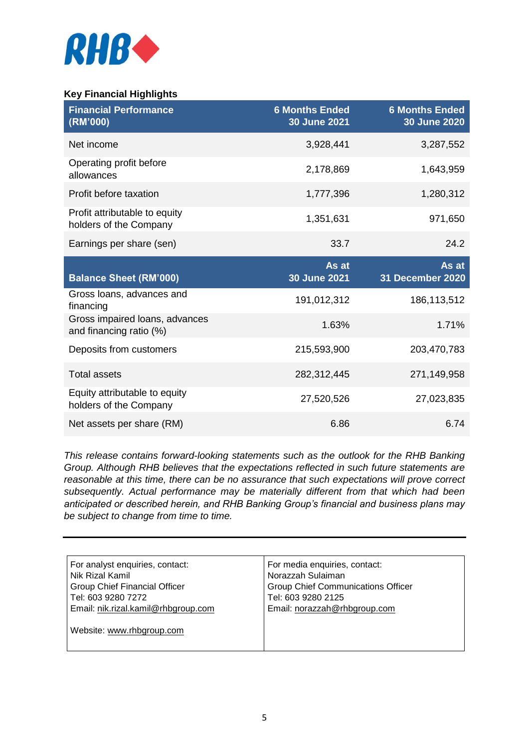

# **Key Financial Highlights**

| <b>Financial Performance</b><br>(RM'000)                  | <b>6 Months Ended</b><br>30 June 2021 | <b>6 Months Ended</b><br>30 June 2020 |
|-----------------------------------------------------------|---------------------------------------|---------------------------------------|
| Net income                                                | 3,928,441                             | 3,287,552                             |
| Operating profit before<br>allowances                     | 2,178,869                             | 1,643,959                             |
| Profit before taxation                                    | 1,777,396                             | 1,280,312                             |
| Profit attributable to equity<br>holders of the Company   | 1,351,631                             | 971,650                               |
| Earnings per share (sen)                                  | 33.7                                  | 24.2                                  |
| <b>Balance Sheet (RM'000)</b>                             | As at<br>30 June 2021                 | As at<br>31 December 2020             |
| Gross loans, advances and<br>financing                    | 191,012,312                           | 186,113,512                           |
| Gross impaired loans, advances<br>and financing ratio (%) | 1.63%                                 | 1.71%                                 |
| Deposits from customers                                   | 215,593,900                           | 203,470,783                           |
| <b>Total assets</b>                                       | 282,312,445                           | 271,149,958                           |
| Equity attributable to equity<br>holders of the Company   | 27,520,526                            | 27,023,835                            |
| Net assets per share (RM)                                 | 6.86                                  | 6.74                                  |

*This release contains forward-looking statements such as the outlook for the RHB Banking Group. Although RHB believes that the expectations reflected in such future statements are reasonable at this time, there can be no assurance that such expectations will prove correct subsequently. Actual performance may be materially different from that which had been anticipated or described herein, and RHB Banking Group's financial and business plans may be subject to change from time to time.* 

| For analyst enquiries, contact:      | For media enquiries, contact:             |  |
|--------------------------------------|-------------------------------------------|--|
| Nik Rizal Kamil                      | Norazzah Sulaiman                         |  |
| <b>Group Chief Financial Officer</b> | <b>Group Chief Communications Officer</b> |  |
| Tel: 603 9280 7272                   | Tel: 603 9280 2125                        |  |
| Email: nik.rizal.kamil@rhbgroup.com  | Email: norazzah@rhbgroup.com              |  |
|                                      |                                           |  |
| Website: www.rhbgroup.com            |                                           |  |
|                                      |                                           |  |
|                                      |                                           |  |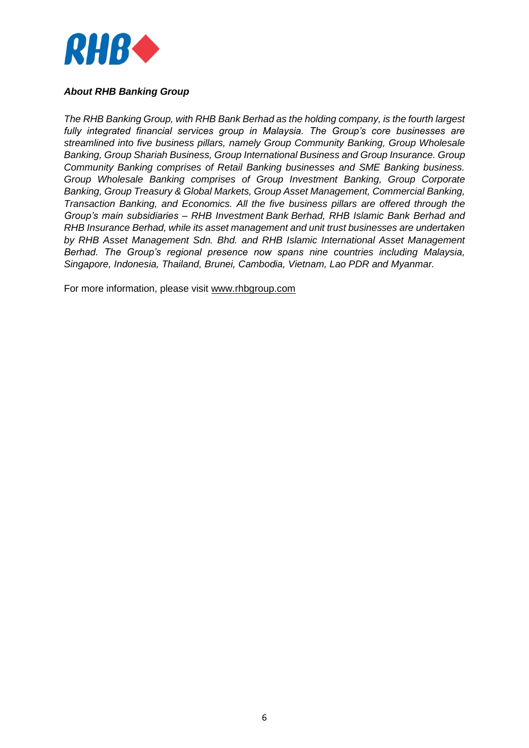

# *About RHB Banking Group*

*The RHB Banking Group, with RHB Bank Berhad as the holding company, is the fourth largest fully integrated financial services group in Malaysia. The Group's core businesses are streamlined into five business pillars, namely Group Community Banking, Group Wholesale Banking, Group Shariah Business, Group International Business and Group Insurance. Group Community Banking comprises of Retail Banking businesses and SME Banking business. Group Wholesale Banking comprises of Group Investment Banking, Group Corporate Banking, Group Treasury & Global Markets, Group Asset Management, Commercial Banking, Transaction Banking, and Economics. All the five business pillars are offered through the Group's main subsidiaries – RHB Investment Bank Berhad, RHB Islamic Bank Berhad and RHB Insurance Berhad, while its asset management and unit trust businesses are undertaken by RHB Asset Management Sdn. Bhd. and RHB Islamic International Asset Management Berhad. The Group's regional presence now spans nine countries including Malaysia, Singapore, Indonesia, Thailand, Brunei, Cambodia, Vietnam, Lao PDR and Myanmar.*

For more information, please visit [www.rhbgroup.com](http://www.rhbgroup.com/)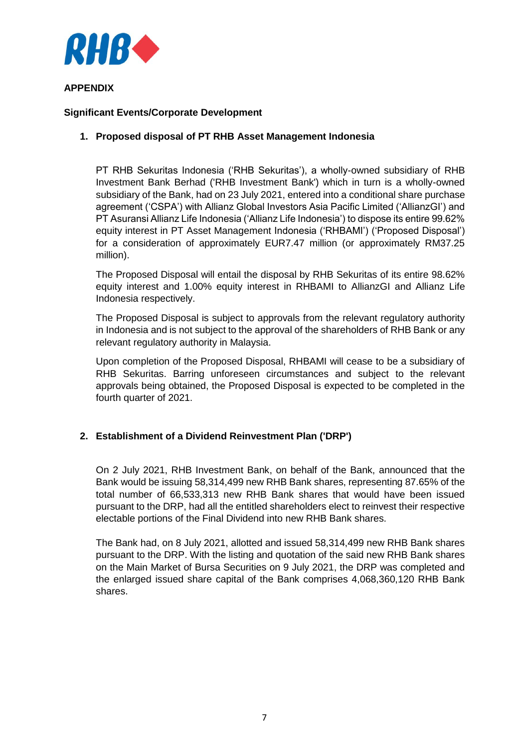

# **APPENDIX**

## **Significant Events/Corporate Development**

# **1. Proposed disposal of PT RHB Asset Management Indonesia**

PT RHB Sekuritas Indonesia ('RHB Sekuritas'), a wholly-owned subsidiary of RHB Investment Bank Berhad ('RHB Investment Bank') which in turn is a wholly-owned subsidiary of the Bank, had on 23 July 2021, entered into a conditional share purchase agreement ('CSPA') with Allianz Global Investors Asia Pacific Limited ('AllianzGI') and PT Asuransi Allianz Life Indonesia ('Allianz Life Indonesia') to dispose its entire 99.62% equity interest in PT Asset Management Indonesia ('RHBAMI') ('Proposed Disposal') for a consideration of approximately EUR7.47 million (or approximately RM37.25 million).

The Proposed Disposal will entail the disposal by RHB Sekuritas of its entire 98.62% equity interest and 1.00% equity interest in RHBAMI to AllianzGI and Allianz Life Indonesia respectively.

The Proposed Disposal is subject to approvals from the relevant regulatory authority in Indonesia and is not subject to the approval of the shareholders of RHB Bank or any relevant regulatory authority in Malaysia.

Upon completion of the Proposed Disposal, RHBAMI will cease to be a subsidiary of RHB Sekuritas. Barring unforeseen circumstances and subject to the relevant approvals being obtained, the Proposed Disposal is expected to be completed in the fourth quarter of 2021.

## **2. Establishment of a Dividend Reinvestment Plan ('DRP')**

On 2 July 2021, RHB Investment Bank, on behalf of the Bank, announced that the Bank would be issuing 58,314,499 new RHB Bank shares, representing 87.65% of the total number of 66,533,313 new RHB Bank shares that would have been issued pursuant to the DRP, had all the entitled shareholders elect to reinvest their respective electable portions of the Final Dividend into new RHB Bank shares.

The Bank had, on 8 July 2021, allotted and issued 58,314,499 new RHB Bank shares pursuant to the DRP. With the listing and quotation of the said new RHB Bank shares on the Main Market of Bursa Securities on 9 July 2021, the DRP was completed and the enlarged issued share capital of the Bank comprises 4,068,360,120 RHB Bank shares.